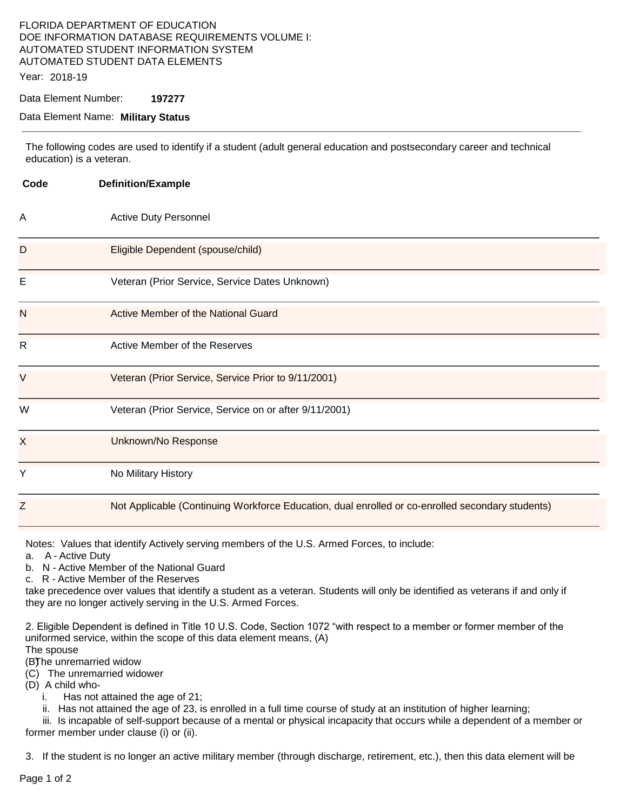# FLORIDA DEPARTMENT OF EDUCATION DOE INFORMATION DATABASE REQUIREMENTS VOLUME I: AUTOMATED STUDENT INFORMATION SYSTEM AUTOMATED STUDENT DATA ELEMENTS

Year: 2018-19

Data Element Number: **197277** 

#### Data Element Name: **Military Status**

The following codes are used to identify if a student (adult general education and postsecondary career and technical education) is a veteran.

| Code | <b>Definition/Example</b>                                                                        |
|------|--------------------------------------------------------------------------------------------------|
| Α    | <b>Active Duty Personnel</b>                                                                     |
| D    | Eligible Dependent (spouse/child)                                                                |
| E    | Veteran (Prior Service, Service Dates Unknown)                                                   |
| N    | Active Member of the National Guard                                                              |
| R.   | Active Member of the Reserves                                                                    |
| V    | Veteran (Prior Service, Service Prior to 9/11/2001)                                              |
| W    | Veteran (Prior Service, Service on or after 9/11/2001)                                           |
| X    | Unknown/No Response                                                                              |
| Ý    | No Military History                                                                              |
| Z    | Not Applicable (Continuing Workforce Education, dual enrolled or co-enrolled secondary students) |

Notes: Values that identify Actively serving members of the U.S. Armed Forces, to include:

a. A - Active Duty

b. N - Active Member of the National Guard

c. R - Active Member of the Reserves

take precedence over values that identify a student as a veteran. Students will only be identified as veterans if and only if they are no longer actively serving in the U.S. Armed Forces.

2. Eligible Dependent is defined in Title 10 U.S. Code, Section 1072 "with respect to a member or former member of the uniformed service, within the scope of this data element means, (A)

The spouse

(B) The unremarried widow

(C) The unremarried widower

(D) A child who-

i. Has not attained the age of 21;

ii. Has not attained the age of 23, is enrolled in a full time course of study at an institution of higher learning;

iii. Is incapable of self-support because of a mental or physical incapacity that occurs while a dependent of a member or former member under clause (i) or (ii).

3. If the student is no longer an active military member (through discharge, retirement, etc.), then this data element will be